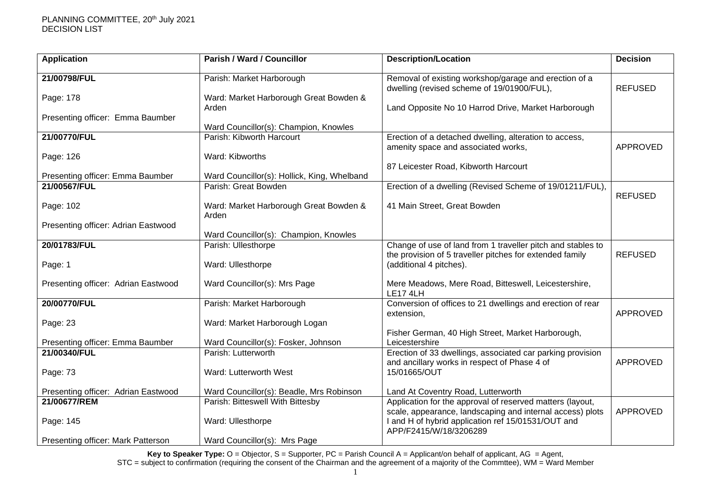| <b>Application</b>                  | <b>Parish / Ward / Councillor</b>               | <b>Description/Location</b>                                                                                                               | <b>Decision</b> |
|-------------------------------------|-------------------------------------------------|-------------------------------------------------------------------------------------------------------------------------------------------|-----------------|
| 21/00798/FUL                        | Parish: Market Harborough                       | Removal of existing workshop/garage and erection of a<br>dwelling (revised scheme of 19/01900/FUL),                                       | <b>REFUSED</b>  |
| Page: 178                           | Ward: Market Harborough Great Bowden &<br>Arden | Land Opposite No 10 Harrod Drive, Market Harborough                                                                                       |                 |
| Presenting officer: Emma Baumber    | Ward Councillor(s): Champion, Knowles           |                                                                                                                                           |                 |
| 21/00770/FUL                        | Parish: Kibworth Harcourt                       | Erection of a detached dwelling, alteration to access,<br>amenity space and associated works,                                             | APPROVED        |
| Page: 126                           | Ward: Kibworths                                 |                                                                                                                                           |                 |
| Presenting officer: Emma Baumber    | Ward Councillor(s): Hollick, King, Whelband     | 87 Leicester Road, Kibworth Harcourt                                                                                                      |                 |
| 21/00567/FUL                        | Parish: Great Bowden                            | Erection of a dwelling (Revised Scheme of 19/01211/FUL),                                                                                  | <b>REFUSED</b>  |
| Page: 102                           | Ward: Market Harborough Great Bowden &<br>Arden | 41 Main Street, Great Bowden                                                                                                              |                 |
| Presenting officer: Adrian Eastwood | Ward Councillor(s): Champion, Knowles           |                                                                                                                                           |                 |
| 20/01783/FUL                        | Parish: Ullesthorpe                             | Change of use of land from 1 traveller pitch and stables to<br>the provision of 5 traveller pitches for extended family                   | <b>REFUSED</b>  |
| Page: 1                             | Ward: Ullesthorpe                               | (additional 4 pitches).                                                                                                                   |                 |
| Presenting officer: Adrian Eastwood | Ward Councillor(s): Mrs Page                    | Mere Meadows, Mere Road, Bitteswell, Leicestershire,<br>LE17 4LH                                                                          |                 |
| 20/00770/FUL                        | Parish: Market Harborough                       | Conversion of offices to 21 dwellings and erection of rear<br>extension,                                                                  | <b>APPROVED</b> |
| Page: 23                            | Ward: Market Harborough Logan                   |                                                                                                                                           |                 |
| Presenting officer: Emma Baumber    | Ward Councillor(s): Fosker, Johnson             | Fisher German, 40 High Street, Market Harborough,<br>Leicestershire                                                                       |                 |
| 21/00340/FUL                        | Parish: Lutterworth                             | Erection of 33 dwellings, associated car parking provision<br>and ancillary works in respect of Phase 4 of                                | <b>APPROVED</b> |
| Page: 73                            | Ward: Lutterworth West                          | 15/01665/OUT                                                                                                                              |                 |
| Presenting officer: Adrian Eastwood | Ward Councillor(s): Beadle, Mrs Robinson        | Land At Coventry Road, Lutterworth                                                                                                        |                 |
| 21/00677/REM                        | Parish: Bitteswell With Bittesby                | Application for the approval of reserved matters (layout,                                                                                 | <b>APPROVED</b> |
| Page: 145                           | Ward: Ullesthorpe                               | scale, appearance, landscaping and internal access) plots<br>I and H of hybrid application ref 15/01531/OUT and<br>APP/F2415/W/18/3206289 |                 |
| Presenting officer: Mark Patterson  | Ward Councillor(s): Mrs Page                    |                                                                                                                                           |                 |

**Key to Speaker Type:** O = Objector, S = Supporter, PC = Parish Council A = Applicant/on behalf of applicant, AG = Agent,

STC = subject to confirmation (requiring the consent of the Chairman and the agreement of a majority of the Commttee), WM = Ward Member